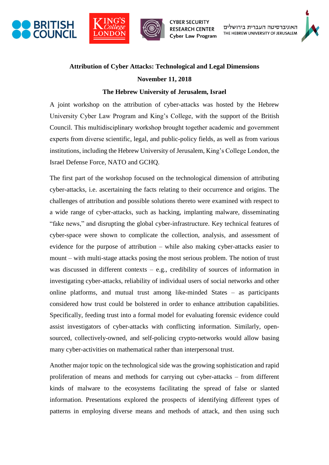





האוניברסיטה העברית בירושלים THE HEBREW UNIVERSITY OF JERUSALEM



## **Attribution of Cyber Attacks: Technological and Legal Dimensions**

## **November 11, 2018**

## **The Hebrew University of Jerusalem, Israel**

A joint workshop on the attribution of cyber-attacks was hosted by the Hebrew University Cyber Law Program and King's College, with the support of the British Council. This multidisciplinary workshop brought together academic and government experts from diverse scientific, legal, and public-policy fields, as well as from various institutions, including the Hebrew University of Jerusalem, King's College London, the Israel Defense Force, NATO and GCHQ.

The first part of the workshop focused on the technological dimension of attributing cyber-attacks, i.e. ascertaining the facts relating to their occurrence and origins. The challenges of attribution and possible solutions thereto were examined with respect to a wide range of cyber-attacks, such as hacking, implanting malware, disseminating "fake news," and disrupting the global cyber-infrastructure. Key technical features of cyber-space were shown to complicate the collection, analysis, and assessment of evidence for the purpose of attribution – while also making cyber-attacks easier to mount – with multi-stage attacks posing the most serious problem. The notion of trust was discussed in different contexts – e.g., credibility of sources of information in investigating cyber-attacks, reliability of individual users of social networks and other online platforms, and mutual trust among like-minded States – as participants considered how trust could be bolstered in order to enhance attribution capabilities. Specifically, feeding trust into a formal model for evaluating forensic evidence could assist investigators of cyber-attacks with conflicting information. Similarly, opensourced, collectively-owned, and self-policing crypto-networks would allow basing many cyber-activities on mathematical rather than interpersonal trust.

Another major topic on the technological side was the growing sophistication and rapid proliferation of means and methods for carrying out cyber-attacks – from different kinds of malware to the ecosystems facilitating the spread of false or slanted information. Presentations explored the prospects of identifying different types of patterns in employing diverse means and methods of attack, and then using such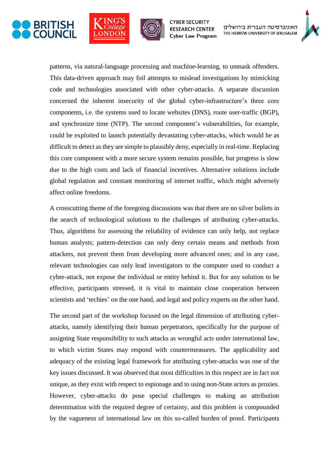





האוניברסיטה העברית בירושלים THE HEBREW UNIVERSITY OF JERUSALEM



patterns, via natural-language processing and machine-learning, to unmask offenders. This data-driven approach may foil attempts to mislead investigations by mimicking code and technologies associated with other cyber-attacks. A separate discussion concerned the inherent insecurity of the global cyber-infrastructure's three core components, i.e. the systems used to locate websites (DNS), route user-traffic (BGP), and synchronize time (NTP). The second component's vulnerabilities, for example, could be exploited to launch potentially devastating cyber-attacks, which would be as difficult to detect as they are simple to plausibly deny, especially in real-time. Replacing this core component with a more secure system remains possible, but progress is slow due to the high costs and lack of financial incentives. Alternative solutions include global regulation and constant monitoring of internet traffic, which might adversely affect online freedoms.

A crosscutting theme of the foregoing discussions was that there are no silver bullets in the search of technological solutions to the challenges of attributing cyber-attacks. Thus, algorithms for assessing the reliability of evidence can only help, not replace human analysts; pattern-detection can only deny certain means and methods from attackers, not prevent them from developing more advanced ones; and in any case, relevant technologies can only lead investigators to the computer used to conduct a cyber-attack, not expose the individual or entity behind it. But for any solution to be effective, participants stressed, it is vital to maintain close cooperation between scientists and 'techies' on the one hand, and legal and policy experts on the other hand.

The second part of the workshop focused on the legal dimension of attributing cyberattacks, namely identifying their human perpetrators, specifically for the purpose of assigning State responsibility to such attacks as wrongful acts under international law, to which victim States may respond with countermeasures. The applicability and adequacy of the existing legal framework for attributing cyber-attacks was one of the key issues discussed. It was observed that most difficulties in this respect are in fact not unique, as they exist with respect to espionage and to using non-State actors as proxies. However, cyber-attacks do pose special challenges to making an attribution determination with the required degree of certainty, and this problem is compounded by the vagueness of international law on this so-called burden of proof. Participants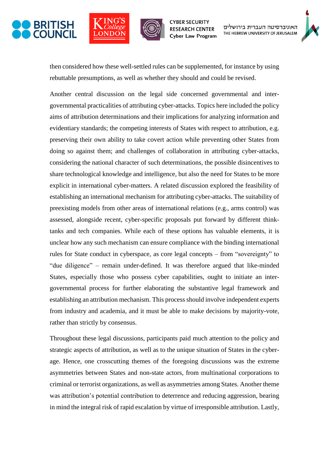





האוניברסיטה העברית בירושלים THE HEBREW UNIVERSITY OF JERUSALEM



then considered how these well-settled rules can be supplemented, for instance by using rebuttable presumptions, as well as whether they should and could be revised.

Another central discussion on the legal side concerned governmental and intergovernmental practicalities of attributing cyber-attacks. Topics here included the policy aims of attribution determinations and their implications for analyzing information and evidentiary standards; the competing interests of States with respect to attribution, e.g. preserving their own ability to take covert action while preventing other States from doing so against them; and challenges of collaboration in attributing cyber-attacks, considering the national character of such determinations, the possible disincentives to share technological knowledge and intelligence, but also the need for States to be more explicit in international cyber-matters. A related discussion explored the feasibility of establishing an international mechanism for attributing cyber-attacks. The suitability of preexisting models from other areas of international relations (e.g., arms control) was assessed, alongside recent, cyber-specific proposals put forward by different thinktanks and tech companies. While each of these options has valuable elements, it is unclear how any such mechanism can ensure compliance with the binding international rules for State conduct in cyberspace, as core legal concepts – from "sovereignty" to "due diligence" – remain under-defined. It was therefore argued that like-minded States, especially those who possess cyber capabilities, ought to initiate an intergovernmental process for further elaborating the substantive legal framework and establishing an attribution mechanism. This process should involve independent experts from industry and academia, and it must be able to make decisions by majority-vote, rather than strictly by consensus.

Throughout these legal discussions, participants paid much attention to the policy and strategic aspects of attribution, as well as to the unique situation of States in the cyberage. Hence, one crosscutting themes of the foregoing discussions was the extreme asymmetries between States and non-state actors, from multinational corporations to criminal or terrorist organizations, as well as asymmetries among States. Another theme was attribution's potential contribution to deterrence and reducing aggression, bearing in mind the integral risk of rapid escalation by virtue of irresponsible attribution. Lastly,